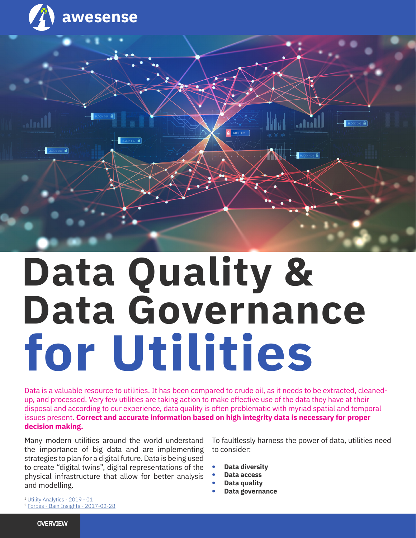

# **Data Quality & Data Governance for Utilities**

Data is a valuable resource to utilities. It has been compared to crude oil, as it needs to be extracted, cleanedup, and processed. Very few utilities are taking action to make effective use of the data they have at their disposal and according to our experience, data quality is often problematic with myriad spatial and temporal issues present. **Correct and accurate information based on high integrity data is necessary for proper decision making.**

Many modern utilities around the world understand the importance of big data and are implementing strategies to plan for a digital future. Data is being used to create "digital twins", digital representations of the physical infrastructure that allow for better analysis and modelling.

To faultlessly harness the power of data, utilities need to consider:

- **• Data diversity**
- **• Data access**
- **• Data quality**
- **• Data governance**

<sup>1</sup> Utility Analytics - 2019 - 01

<sup>2</sup> Forbes - Bain Insights - 2017-02-28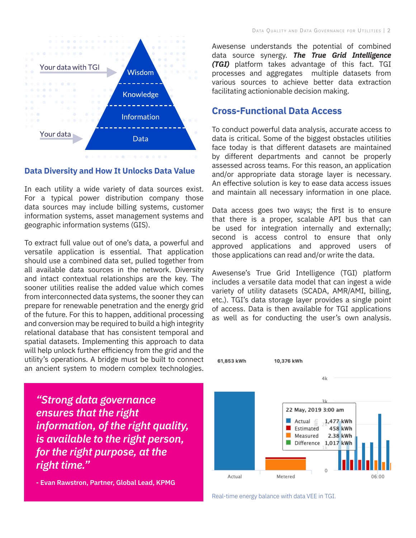

#### **Data Diversity and How It Unlocks Data Value**

In each utility a wide variety of data sources exist. For a typical power distribution company those data sources may include billing systems, customer information systems, asset management systems and geographic information systems (GIS).

To extract full value out of one's data, a powerful and versatile application is essential. That application should use a combined data set, pulled together from all available data sources in the network. Diversity and intact contextual relationships are the key. The sooner utilities realise the added value which comes from interconnected data systems, the sooner they can prepare for renewable penetration and the energy grid of the future. For this to happen, additional processing and conversion may be required to build a high integrity relational database that has consistent temporal and spatial datasets. Implementing this approach to data will help unlock further efficiency from the grid and the utility's operations. A bridge must be built to connect an ancient system to modern complex technologies.

*"Strong data governance ensures that the right information, of the right quality, is available to the right person, for the right purpose, at the right time."*

**- Evan Rawstron, Partner, Global Lead, KPMG**

Awesense understands the potential of combined data source synergy. *The True Grid Intelligence (TGI)* platform takes advantage of this fact. TGI processes and aggregates multiple datasets from various sources to achieve better data extraction facilitating actionionable decision making.

#### **Cross-Functional Data Access**

To conduct powerful data analysis, accurate access to data is critical. Some of the biggest obstacles utilities face today is that different datasets are maintained by different departments and cannot be properly assessed across teams. For this reason, an application and/or appropriate data storage layer is necessary. An effective solution is key to ease data access issues and maintain all necessary information in one place.

Data access goes two ways; the first is to ensure that there is a proper, scalable API bus that can be used for integration internally and externally; second is access control to ensure that only approved applications and approved users of those applications can read and/or write the data.

Awesense's True Grid Intelligence (TGI) platform includes a versatile data model that can ingest a wide variety of utility datasets (SCADA, AMR/AMI, billing, etc.). TGI's data storage layer provides a single point of access. Data is then available for TGI applications as well as for conducting the user's own analysis.



Real-time energy balance with data VEE in TGI.